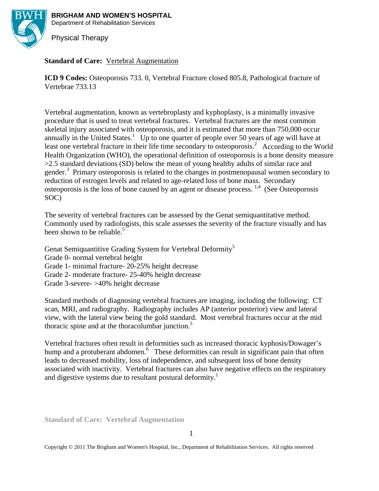

**BRIGHAM AND WOMEN'S HOSPITAL** 

Department of Rehabilitation Services

Physical Therapy

# **Standard of Care:** Vertebral Augmentation

**ICD 9 Codes:** Osteoporosis 733. 0, Vertebral Fracture closed 805.8, Pathological fracture of Vertebrae 733.13

Vertebral augmentation, known as vertebroplasty and kyphoplasty, is a minimally invasive procedure that is used to treat vertebral fractures. Vertebral fractures are the most common skeletal injury associated with osteoporosis, and it is estimated that more than 750,000 occur annually in the United States.<sup>1</sup> Up to one quarter of people over 50 years of age will have at least one vertebral fracture in their life time secondary to osteoporosis.<sup>2</sup> According to the World Health Organization (WHO), the operational definition of osteoporosis is a bone density measure >2.5 standard deviations (SD) below the mean of young healthy adults of similar race and gender.<sup>3</sup> Primary osteoporosis is related to the changes in postmenopausal women secondary to reduction of estrogen levels and related to age-related loss of bone mass. Secondary osteoporosis is the loss of bone caused by an agent or disease process.  $^{1,4}$  (See Osteoporosis SOC)

The severity of vertebral fractures can be assessed by the Genat semiquantitative method. Commonly used by radiologists, this scale assesses the severity of the fracture visually and has been shown to be reliable.<sup>5</sup>

Genat Semiquantitive Grading System for Vertebral Deformity<sup>5</sup>

Grade 0- normal vertebral height

Grade 1- minimal fracture- 20-25% height decrease

Grade 2- moderate fracture- 25-40% height decrease

Grade 3-severe- >40% height decrease

Standard methods of diagnosing vertebral fractures are imaging, including the following: CT scan, MRI, and radiography. Radiography includes AP (anterior posterior) view and lateral view, with the lateral view being the gold standard. Most vertebral fractures occur at the mid thoracic spine and at the thoracolumbar junction. $5$ 

Vertebral fractures often result in deformities such as increased thoracic kyphosis/Dowager's hump and a protuberant abdomen.<sup>6</sup> These deformities can result in significant pain that often leads to decreased mobility, loss of independence, and subsequent loss of bone density associated with inactivity. Vertebral fractures can also have negative effects on the respiratory and digestive systems due to resultant postural deformity.<sup>1</sup>

**Standard of Care: Vertebral Augmentation**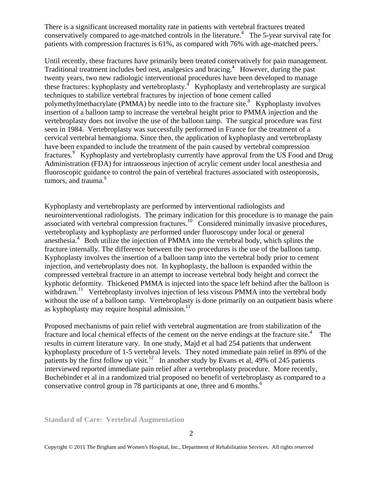There is a significant increased mortality rate in patients with vertebral fractures treated conservatively compared to age-matched controls in the literature.<sup>4</sup> The 5-year survival rate for patients with compression fractures is 61%, as compared with 76% with age-matched peers.<sup>7</sup>

Until recently, these fractures have primarily been treated conservatively for pain management. Traditional treatment includes bed rest, analgesics and bracing.<sup>4</sup> However, during the past twenty years, two new radiologic interventional procedures have been developed to manage these fractures: kyphoplasty and vertebroplasty.<sup>4</sup> Kyphoplasty and vertebroplasty are surgical techniques to stabilize vertebral fractures by injection of bone cement called polymethylmethacrylate (PMMA) by needle into to the fracture site.<sup>8</sup> Kyphoplasty involves insertion of a balloon tamp to increase the vertebral height prior to PMMA injection and the vertebroplasty does not involve the use of the balloon tamp. The surgical procedure was first seen in 1984. Vertebroplasty was successfully performed in France for the treatment of a cervical vertebral hemangioma. Since then, the application of kyphoplasty and vertebroplasty have been expanded to include the treatment of the pain caused by vertebral compression fractures.<sup>9</sup> Kyphoplasty and vertebroplasty currently have approval from the US Food and Drug Administration (FDA) for intraosseous injection of acrylic cement under local anesthesia and fluoroscopic guidance to control the pain of vertebral fractures associated with osteoporosis, tumors, and trauma.<sup>9</sup>

Kyphoplasty and vertebroplasty are performed by interventional radiologists and neurointerventional radiologists. The primary indication for this procedure is to manage the pain associated with vertebral compression fractures.<sup>10</sup> Considered minimally invasive procedures, vertebroplasty and kyphoplasty are performed under fluoroscopy under local or general anesthesia. $4$  Both utilize the injection of PMMA into the vertebral body, which splints the fracture internally. The difference between the two procedures is the use of the balloon tamp. Kyphoplasty involves the insertion of a balloon tamp into the vertebral body prior to cement injection, and vertebroplasty does not. In kyphoplasty, the balloon is expanded within the compressed vertebral fracture in an attempt to increase vertebral body height and correct the kyphotic deformity. Thickened PMMA is injected into the space left behind after the balloon is withdrawn.<sup>11</sup> Vertebroplasty involves injection of less viscous PMMA into the vertebral body without the use of a balloon tamp. Vertebroplasty is done primarily on an outpatient basis where as kyphoplasty may require hospital admission.<sup>11</sup>

Proposed mechanisms of pain relief with vertebral augmentation are from stabilization of the fracture and local chemical effects of the cement on the nerve endings at the fracture site.<sup>4</sup> The results in current literature vary. In one study, Majd et al had 254 patients that underwent kyphoplasty procedure of 1-5 vertebral levels. They noted immediate pain relief in 89% of the patients by the first follow up visit.<sup>12</sup> In another study by Evans et al, 49% of 245 patients interviewed reported immediate pain relief after a vertebroplasty procedure. More recently, Buchebinder et al in a randomized trial proposed no benefit of vertebroplasty as compared to a conservative control group in 78 participants at one, three and 6 months.<sup>6</sup>

**Standard of Care: Vertebral Augmentation**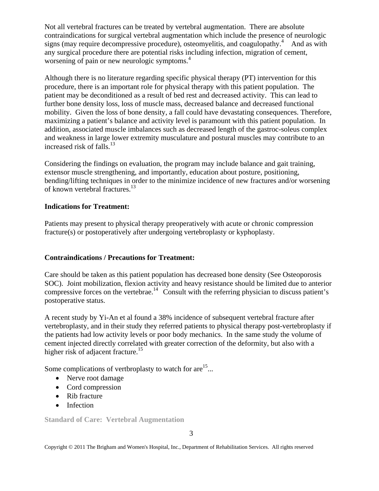Not all vertebral fractures can be treated by vertebral augmentation. There are absolute contraindications for surgical vertebral augmentation which include the presence of neurologic signs (may require decompressive procedure), osteomyelitis, and coagulopathy.<sup>4</sup> And as with any surgical procedure there are potential risks including infection, migration of cement, worsening of pain or new neurologic symptoms.<sup>4</sup>

Although there is no literature regarding specific physical therapy (PT) intervention for this procedure, there is an important role for physical therapy with this patient population. The patient may be deconditioned as a result of bed rest and decreased activity. This can lead to further bone density loss, loss of muscle mass, decreased balance and decreased functional mobility. Given the loss of bone density, a fall could have devastating consequences. Therefore, maximizing a patient's balance and activity level is paramount with this patient population. In addition, associated muscle imbalances such as decreased length of the gastroc-soleus complex and weakness in large lower extremity musculature and postural muscles may contribute to an increased risk of falls. $^{13}$ 

Considering the findings on evaluation, the program may include balance and gait training, extensor muscle strengthening, and importantly, education about posture, positioning, bending/lifting techniques in order to the minimize incidence of new fractures and/or worsening of known vertebral fractures.<sup>13</sup>

# **Indications for Treatment:**

Patients may present to physical therapy preoperatively with acute or chronic compression fracture(s) or postoperatively after undergoing vertebroplasty or kyphoplasty.

# **Contraindications / Precautions for Treatment:**

Care should be taken as this patient population has decreased bone density (See Osteoporosis SOC). Joint mobilization, flexion activity and heavy resistance should be limited due to anterior compressive forces on the vertebrae.<sup>14</sup> Consult with the referring physician to discuss patient's postoperative status.

A recent study by Yi-An et al found a 38% incidence of subsequent vertebral fracture after vertebroplasty, and in their study they referred patients to physical therapy post-vertebroplasty if the patients had low activity levels or poor body mechanics. In the same study the volume of cement injected directly correlated with greater correction of the deformity, but also with a higher risk of adjacent fracture.<sup>15</sup>

Some complications of vertbroplasty to watch for are<sup>15</sup>...

- Nerve root damage
- Cord compression
- Rib fracture
- Infection

**Standard of Care: Vertebral Augmentation**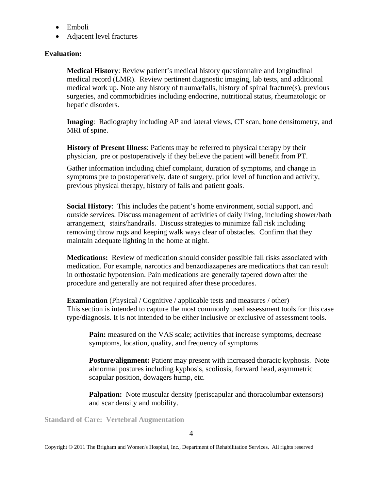- Emboli
- Adjacent level fractures

## **Evaluation:**

**Medical History**: Review patient's medical history questionnaire and longitudinal medical record (LMR). Review pertinent diagnostic imaging, lab tests, and additional medical work up. Note any history of trauma/falls, history of spinal fracture(s), previous surgeries, and commorbidities including endocrine, nutritional status, rheumatologic or hepatic disorders.

**Imaging**: Radiography including AP and lateral views, CT scan, bone densitometry, and MRI of spine.

**History of Present Illness**: Patients may be referred to physical therapy by their physician, pre or postoperatively if they believe the patient will benefit from PT.

Gather information including chief complaint, duration of symptoms, and change in symptoms pre to postoperatively, date of surgery, prior level of function and activity, previous physical therapy, history of falls and patient goals.

**Social History**: This includes the patient's home environment, social support, and outside services. Discuss management of activities of daily living, including shower/bath arrangement, stairs/handrails. Discuss strategies to minimize fall risk including removing throw rugs and keeping walk ways clear of obstacles. Confirm that they maintain adequate lighting in the home at night.

**Medications:** Review of medication should consider possible fall risks associated with medication. For example, narcotics and benzodiazapenes are medications that can result in orthostatic hypotension. Pain medications are generally tapered down after the procedure and generally are not required after these procedures.

**Examination** (Physical / Cognitive / applicable tests and measures / other) This section is intended to capture the most commonly used assessment tools for this case type/diagnosis. It is not intended to be either inclusive or exclusive of assessment tools.

**Pain:** measured on the VAS scale; activities that increase symptoms, decrease symptoms, location, quality, and frequency of symptoms

**Posture/alignment:** Patient may present with increased thoracic kyphosis. Note abnormal postures including kyphosis, scoliosis, forward head, asymmetric scapular position, dowagers hump, etc.

**Palpation:** Note muscular density (periscapular and thoracolumbar extensors) and scar density and mobility.

**Standard of Care: Vertebral Augmentation**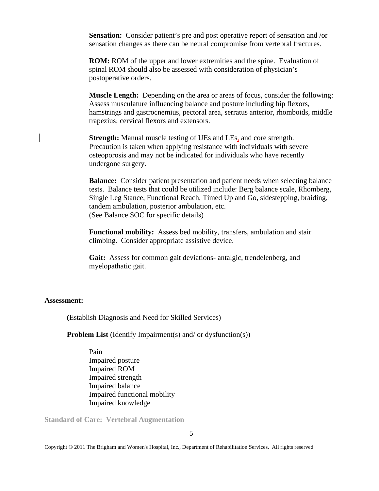**Sensation:** Consider patient's pre and post operative report of sensation and /or sensation changes as there can be neural compromise from vertebral fractures.

**ROM:** ROM of the upper and lower extremities and the spine. Evaluation of spinal ROM should also be assessed with consideration of physician's postoperative orders.

**Muscle Length:** Depending on the area or areas of focus, consider the following: Assess musculature influencing balance and posture including hip flexors, hamstrings and gastrocnemius, pectoral area, serratus anterior, rhomboids, middle trapezius; cervical flexors and extensors.

**Strength:** Manual muscle testing of UEs and LEs, and core strength. Precaution is taken when applying resistance with individuals with severe osteoporosis and may not be indicated for individuals who have recently undergone surgery.

**Balance:** Consider patient presentation and patient needs when selecting balance tests. Balance tests that could be utilized include: Berg balance scale, Rhomberg, Single Leg Stance, Functional Reach, Timed Up and Go, sidestepping, braiding, tandem ambulation, posterior ambulation, etc. (See Balance SOC for specific details)

**Functional mobility:** Assess bed mobility, transfers, ambulation and stair climbing. Consider appropriate assistive device.

**Gait:** Assess for common gait deviations- antalgic, trendelenberg, and myelopathatic gait.

#### **Assessment:**

 **(**Establish Diagnosis and Need for Skilled Services)

**Problem List** (Identify Impairment(s) and/ or dysfunction(s))

Pain Impaired posture Impaired ROM Impaired strength Impaired balance Impaired functional mobility Impaired knowledge

**Standard of Care: Vertebral Augmentation**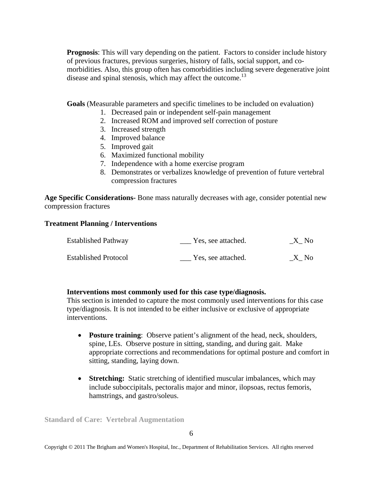**Prognosis**: This will vary depending on the patient. Factors to consider include history of previous fractures, previous surgeries, history of falls, social support, and comorbidities. Also, this group often has comorbidities including severe degenerative joint disease and spinal stenosis, which may affect the outcome.<sup>13</sup>

**Goals** (Measurable parameters and specific timelines to be included on evaluation)

- 1. Decreased pain or independent self-pain management
- 2. Increased ROM and improved self correction of posture
- 3. Increased strength
- 4. Improved balance
- 5. Improved gait
- 6. Maximized functional mobility
- 7. Independence with a home exercise program
- 8. Demonstrates or verbalizes knowledge of prevention of future vertebral compression fractures

**Age Specific Considerations-** Bone mass naturally decreases with age, consider potential new compression fractures

## **Treatment Planning / Interventions**

| <b>Established Pathway</b>  | Yes, see attached. | $X$ <sub>N</sub> o |
|-----------------------------|--------------------|--------------------|
| <b>Established Protocol</b> | Yes, see attached. | X No               |

## **Interventions most commonly used for this case type/diagnosis.**

This section is intended to capture the most commonly used interventions for this case type/diagnosis. It is not intended to be either inclusive or exclusive of appropriate interventions.

- **Posture training**: Observe patient's alignment of the head, neck, shoulders, spine, LEs. Observe posture in sitting, standing, and during gait. Make appropriate corrections and recommendations for optimal posture and comfort in sitting, standing, laying down.
- **Stretching:** Static stretching of identified muscular imbalances, which may include suboccipitals, pectoralis major and minor, ilopsoas, rectus femoris, hamstrings, and gastro/soleus.

**Standard of Care: Vertebral Augmentation**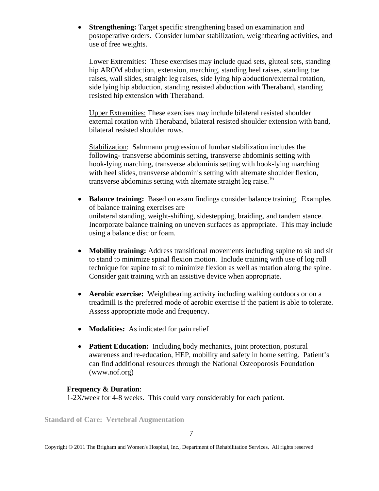• **Strengthening:** Target specific strengthening based on examination and postoperative orders. Consider lumbar stabilization, weightbearing activities, and use of free weights.

Lower Extremities: These exercises may include quad sets, gluteal sets, standing hip AROM abduction, extension, marching, standing heel raises, standing toe raises, wall slides, straight leg raises, side lying hip abduction/external rotation, side lying hip abduction, standing resisted abduction with Theraband, standing resisted hip extension with Theraband.

Upper Extremities: These exercises may include bilateral resisted shoulder external rotation with Theraband, bilateral resisted shoulder extension with band, bilateral resisted shoulder rows.

Stabilization: Sahrmann progression of lumbar stabilization includes the following- transverse abdominis setting, transverse abdominis setting with hook-lying marching, transverse abdominis setting with hook-lying marching with heel slides, transverse abdominis setting with alternate shoulder flexion, transverse abdominis setting with alternate straight leg raise.<sup>16</sup>

- **Balance training:** Based on exam findings consider balance training. Examples of balance training exercises are unilateral standing, weight-shifting, sidestepping, braiding, and tandem stance. Incorporate balance training on uneven surfaces as appropriate. This may include using a balance disc or foam.
- **Mobility training:** Address transitional movements including supine to sit and sit to stand to minimize spinal flexion motion. Include training with use of log roll technique for supine to sit to minimize flexion as well as rotation along the spine. Consider gait training with an assistive device when appropriate.
- **Aerobic exercise:** Weightbearing activity including walking outdoors or on a treadmill is the preferred mode of aerobic exercise if the patient is able to tolerate. Assess appropriate mode and frequency.
- **Modalities:** As indicated for pain relief
- **Patient Education:** Including body mechanics, joint protection, postural awareness and re-education, HEP, mobility and safety in home setting. Patient's can find additional resources through the National Osteoporosis Foundation (www.nof.org)

#### **Frequency & Duration**:

1-2X/week for 4-8 weeks. This could vary considerably for each patient.

**Standard of Care: Vertebral Augmentation**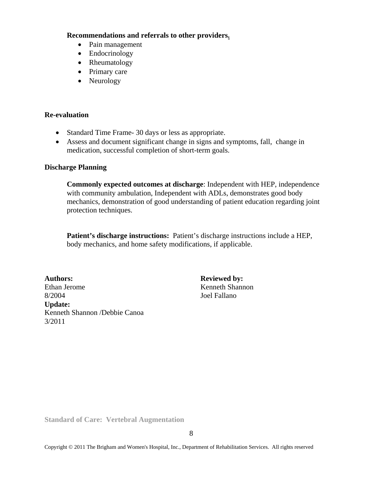#### **Recommendations and referrals to other providers.**

- Pain management
- Endocrinology
- Rheumatology
- Primary care
- Neurology

#### **Re-evaluation**

- Standard Time Frame- 30 days or less as appropriate.
- Assess and document significant change in signs and symptoms, fall, change in medication, successful completion of short-term goals.

#### **Discharge Planning**

**Commonly expected outcomes at discharge**: Independent with HEP, independence with community ambulation, Independent with ADLs, demonstrates good body mechanics, demonstration of good understanding of patient education regarding joint protection techniques.

**Patient's discharge instructions:** Patient's discharge instructions include a HEP, body mechanics, and home safety modifications, if applicable.

Ethan Jerome Kenneth Shannon 8/2004 Joel Fallano **Update:**  Kenneth Shannon /Debbie Canoa 3/2011

**Authors: Reviewed by:** 

**Standard of Care: Vertebral Augmentation**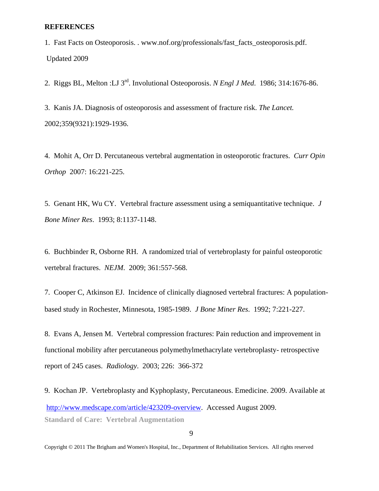#### **REFERENCES**

1. Fast Facts on Osteoporosis. . www.nof.org/professionals/fast\_facts\_osteoporosis.pdf. Updated 2009

2. Riggs BL, Melton :LJ 3rd. Involutional Osteoporosis. *N Engl J Med*. 1986; 314:1676-86.

3. Kanis JA. Diagnosis of osteoporosis and assessment of fracture risk. *The Lancet.*  2002;359(9321):1929-1936.

4. Mohit A, Orr D. Percutaneous vertebral augmentation in osteoporotic fractures. *Curr Opin Orthop* 2007: 16:221-225.

5. Genant HK, Wu CY. Vertebral fracture assessment using a semiquantitative technique. *J Bone Miner Res*. 1993; 8:1137-1148.

6. Buchbinder R, Osborne RH. A randomized trial of vertebroplasty for painful osteoporotic vertebral fractures. *NEJM*. 2009; 361:557-568.

7. Cooper C, Atkinson EJ. Incidence of clinically diagnosed vertebral fractures: A populationbased study in Rochester, Minnesota, 1985-1989. *J Bone Miner Res*. 1992; 7:221-227.

8. Evans A, Jensen M. Vertebral compression fractures: Pain reduction and improvement in functional mobility after percutaneous polymethylmethacrylate vertebroplasty- retrospective report of 245 cases. *Radiology*. 2003; 226: 366-372

**Standard of Care: Vertebral Augmentation**  9. Kochan JP. Vertebroplasty and Kyphoplasty, Percutaneous. Emedicine. 2009. Available at http://www.medscape.com/article/423209-overview. Accessed August 2009.

9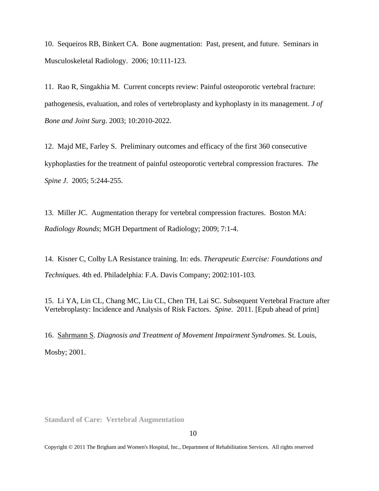10. Sequeiros RB, Binkert CA. Bone augmentation: Past, present, and future. Seminars in Musculoskeletal Radiology. 2006; 10:111-123.

11. Rao R, Singakhia M. Current concepts review: Painful osteoporotic vertebral fracture: pathogenesis, evaluation, and roles of vertebroplasty and kyphoplasty in its management. *J of Bone and Joint Surg*. 2003; 10:2010-2022.

12. Majd ME, Farley S. Preliminary outcomes and efficacy of the first 360 consecutive kyphoplasties for the treatment of painful osteoporotic vertebral compression fractures. *The Spine J*. 2005; 5:244-255.

13. Miller JC. Augmentation therapy for vertebral compression fractures. Boston MA: *Radiology Rounds*; MGH Department of Radiology; 2009; 7:1-4.

14. Kisner C, Colby LA Resistance training. In: eds. *Therapeutic Exercise: Foundations and Techniques.* 4th ed. Philadelphia: F.A. Davis Company; 2002:101-103.

15. Li YA, Lin CL, Chang MC, Liu CL, Chen TH, Lai SC. Subsequent Vertebral Fracture after Vertebroplasty: Incidence and Analysis of Risk Factors. *Spine*. 2011. [Epub ahead of print]

16. Sahrmann S. *Diagnosis and Treatment of Movement Impairment Syndromes*. St. Louis, Mosby; 2001.

**Standard of Care: Vertebral Augmentation** 

10